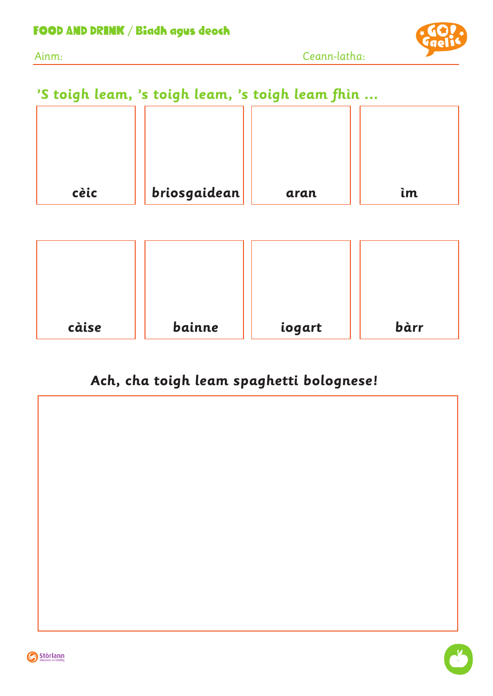

## **'S toigh leam, 's toigh leam, 's toigh leam fhìn ...**

| cèic | briosgaidean | aran | ìm |
|------|--------------|------|----|
|      |              |      |    |
|      |              |      |    |
|      |              |      |    |

| càise | bainne | iogart | bàrr |
|-------|--------|--------|------|

## **Ach, cha toigh leam spaghetti bolognese!**



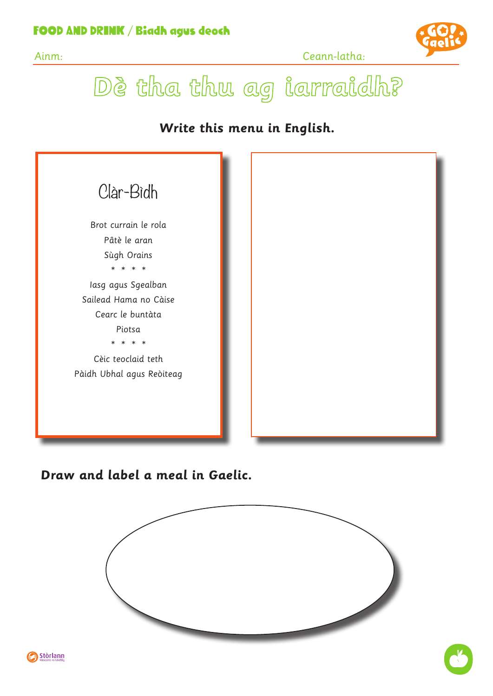#### FOOD AND DRINK / Biadh agus deoch





Dè tha thu ag iarraidh?

#### **Write this menu in English.**



#### **Draw and label a meal in Gaelic.**



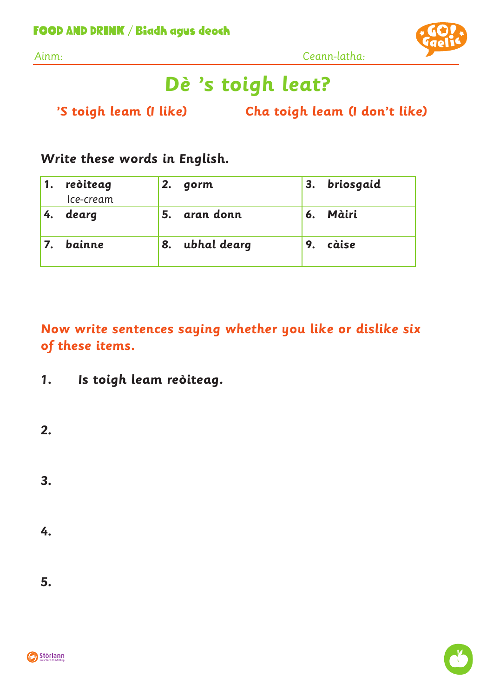

Ainm: Ceann-latha:

# **Dè 's toigh leat?**

 **'S toigh leam (I like) Cha toigh leam (I don't like)**

### **Write these words in English.**

| 1. | reòiteag<br>Ice-cream | 2. | gorm        | 3. | briosgaid |
|----|-----------------------|----|-------------|----|-----------|
| 4. | dearg                 | 5. | aran donn   | 6. | Màiri     |
|    | bainne                | 8. | ubhal dearg | 9. | càise     |

**Now write sentences saying whether you like or dislike six of these items.**

**1. Is toigh leam reòiteag.**

**2.**

**3.** 

**4.**

**5.**

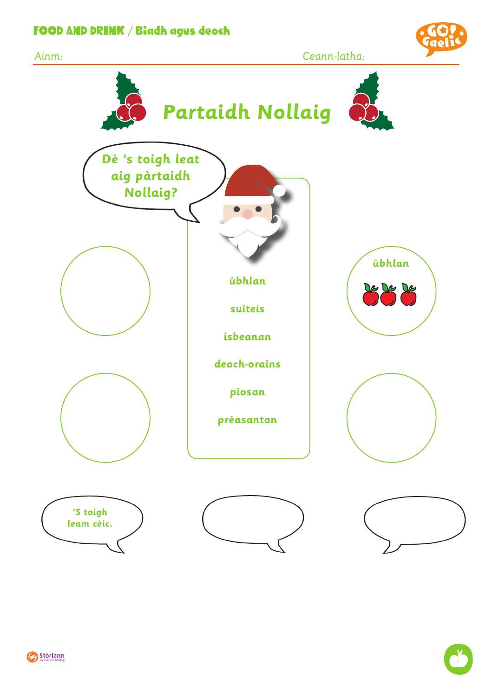